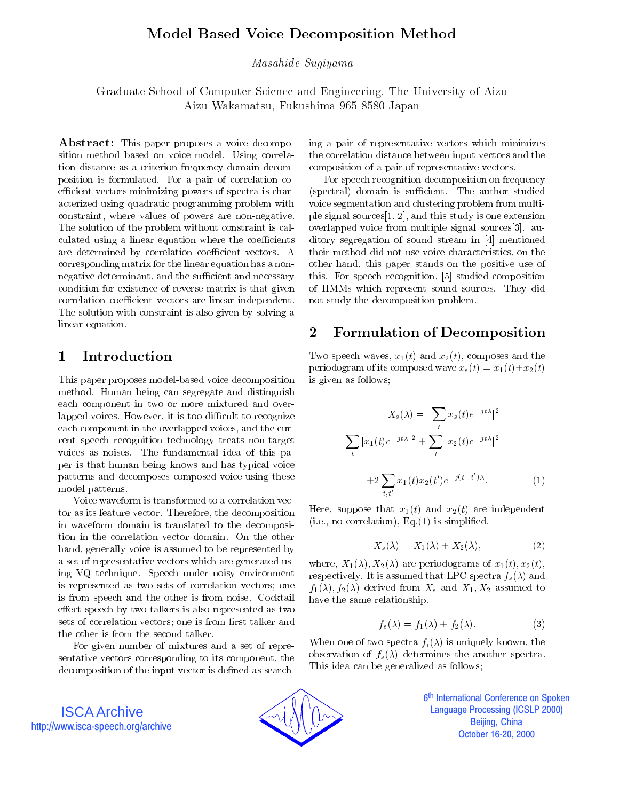# Model Based Voice Decomposition Method

Masahide Sugiyama

Graduate School of Computer Science and Engineering, The University of Aizu Aizu-Wakamatsu, Fukushima 965-8580 Japan

Abstract: This paper proposes a voice decomposition method based on voice model. Using correlation distance as a criterion frequency domain decomposition is formulated. For a pair of correlation coefficient vectors minimizing powers of spectra is characterized using quadratic programming problem with constraint, where values of powers are non-negative. The solution of the problem without constraint is calculated using a linear equation where the coefficients are determined by correlation coefficient vectors. A corresponding matrix for the linear equation has a nonnegative determinant, and the sufficient and necessary condition for existence of reverse matrix is that given correlation coefficient vectors are linear independent. The solution with constraint is also given by solving a linear equation.

#### Introduction  $\mathbf{1}$

This paper proposes model-based voice decomposition method. Human being can segregate and distinguish each component in two or more mixtured and overlapped voices. However, it is too difficult to recognize each component in the overlapped voices, and the current speech recognition technology treats non-target voices as noises. The fundamental idea of this paper is that human being knows and has typical voice patterns and decomposes composed voice using these model patterns.

Voice waveform is transformed to a correlation vector as its feature vector. Therefore, the decomposition in waveform domain is translated to the decomposition in the correlation vector domain. On the other hand, generally voice is assumed to be represented by a set of representative vectors which are generated using VQ technique. Speech under noisy environment is represented as two sets of correlation vectors; one is from speech and the other is from noise. Cocktail effect speech by two talkers is also represented as two sets of correlation vectors; one is from first talker and the other is from the second talker.

For given number of mixtures and a set of representative vectors corresponding to its component, the decomposition of the input vector is defined as searching a pair of representative vectors which minimizes the correlation distance between input vectors and the composition of a pair of representative vectors.

For speech recognition decomposition on frequency (spectral) domain is sufficient. The author studied voice segmentation and clustering problem from multiple signal sources[1, 2], and this study is one extension overlapped voice from multiple signal sources[3]. auditory segregation of sound stream in [4] mentioned their method did not use voice characteristics, on the other hand, this paper stands on the positive use of this. For speech recognition, [5] studied composition of HMMs which represent sound sources. They did not study the decomposition problem.

#### $\overline{2}$ 2 Formulation of Decomposition

Two speech waves,  $x_1(t)$  and  $x_2(t)$ , composes and the periodogram of its composed wave  $x_s(t) = x_1(t) + x_2(t)$ is given as follows;

$$
X_s(\lambda) = |\sum_t x_s(t)e^{-jt\lambda}|^2
$$

$$
= \sum_t |x_1(t)e^{-jt\lambda}|^2 + \sum_t |x_2(t)e^{-jt\lambda}|^2
$$

$$
+ 2\sum_{t,t'} x_1(t)x_2(t')e^{-j(t-t')\lambda}.
$$
(1)

Here, suppose that  $x_1(t)$  and  $x_2(t)$  are independent  $(i.e., no correlation), Eq.(1)$  is simplified.

$$
X_s(\lambda) = X_1(\lambda) + X_2(\lambda), \tag{2}
$$

where,  $X_1(\lambda), X_2(\lambda)$  are periodograms of  $x_1(t), x_2(t)$ , respectively. It is assumed that LPC spectra  $f_s(\lambda)$  and  $f_1(\lambda), f_2(\lambda)$  derived from  $X_s$  and  $X_1, X_2$  assumed to have the same relationship.

$$
f_s(\lambda) = f_1(\lambda) + f_2(\lambda). \tag{3}
$$

When one of two spectra  $f_i(\lambda)$  is uniquely known, the observation of  $f_s(\lambda)$  determines the another spectra. This idea can be generalized as follows;

ISCA Archive http://www.isca-speech.org/archive



6<sup>th</sup> International Conference on Spoken İ **Language Processing (ICSLP 2000)** Beijing, China October 16-20, 2000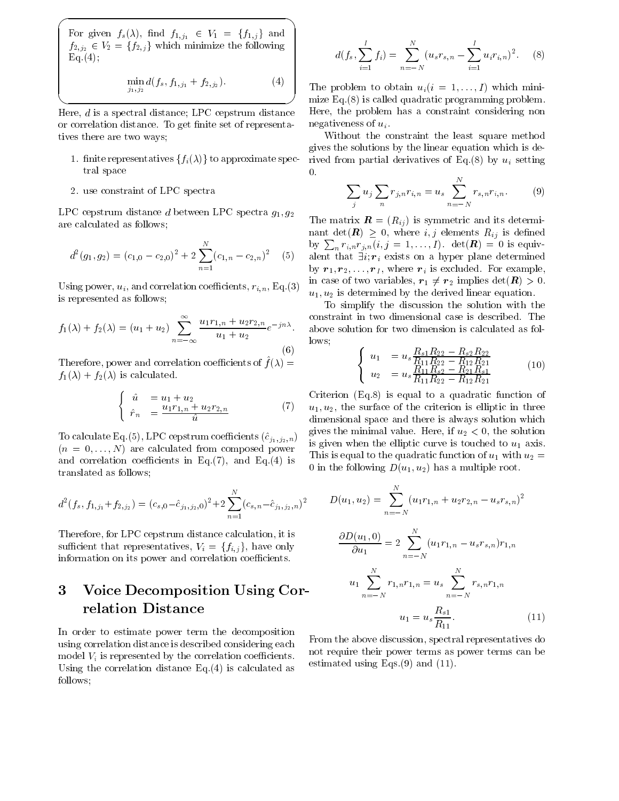For given  $f_s(\lambda)$ , find  $f_{1,j_1} \in V_1 = \{f_{1,j}\}\$ and  $f_{2,j_2} \in V_2 = \{f_{2,j}\}\$  which minimize the following  $Eq. (4);$ 

$$
\min_{j_1, j_2} d(f_s, f_{1,j_1} + f_{2,j_2}). \tag{4}
$$

 $\overline{\phantom{a}}$  and  $\overline{\phantom{a}}$  and  $\overline{\phantom{a}}$  and  $\overline{\phantom{a}}$  and  $\overline{\phantom{a}}$  and  $\overline{\phantom{a}}$  and  $\overline{\phantom{a}}$  and  $\overline{\phantom{a}}$  and  $\overline{\phantom{a}}$  and  $\overline{\phantom{a}}$  and  $\overline{\phantom{a}}$  and  $\overline{\phantom{a}}$  and  $\overline{\phantom{a}}$  and  $\overline{\phantom{a}}$  a

Here, d is a spectral distance; LPC cepstrum distance or correlation distance. To get finite set of representatives there are two ways;

- 1. finite representatives  $\{f_i(\lambda)\}\)$  to approximate spectral space
- 2. use constraint of LPC spectra

LPC cepstrum distance d between LPC spectra  $g_1, g_2$ are calculated as follows;

$$
d^{2}(g_{1}, g_{2}) = (c_{1,0} - c_{2,0})^{2} + 2\sum_{n=1}^{N} (c_{1,n} - c_{2,n})^{2} \quad (5)
$$
by

Using power,  $u_i$ , and correlation coefficients,  $r_{i,n}$ , Eq.(3) is represented as follows;

$$
f_1(\lambda) + f_2(\lambda) = (u_1 + u_2) \sum_{n = -\infty}^{\infty} \frac{u_1 r_{1,n} + u_2 r_{2,n}}{u_1 + u_2} e^{-j n \lambda} \quad \text{and} \quad \text{low}
$$
 (6)

Therefore, power and correlation coefficients of  $f(\lambda) =$  $f_1(\lambda) + f_2(\lambda)$  is calculated.

$$
\begin{cases}\n\hat{u} = u_1 + u_2 \\
\hat{r}_n = \frac{u_1 r_{1,n} + u_2 r_{2,n}}{\hat{u}}\n\end{cases} (7)
$$

To calculate Eq.(5), LPC cepstrum coefficients  $(\hat{c}_{j_1 ,j_2 ,n})$  $(n = 0, \ldots, N)$  are calculated from composed power and correlation coefficients in Eq. $(7)$ , and Eq. $(4)$  is translated as follows;

d <sup>2</sup> (fs; f1;j1+f2;j2 )=(cs;0c^j1;j2 ;0)2+2<sup>X</sup> (cs;nc^j1;j2 ;n)2

Therefore, for LPC cepstrum distance calculation, it is sufficient that representatives,  $V_i = \{f_{i,j}\}\$ , have only information on its power and correlation coefficients.

### Voice Decomposition Using Cor-3 relation Distance

In order to estimate power term the decomposition using correlation distance is described considering each model  $V_i$  is represented by the correlation coefficients. Using the correlation distance Eq.(4) is calculated as follows;

$$
d(f_s, \sum_{i=1}^I f_i) = \sum_{n=-N}^N (u_s r_{s,n} - \sum_{i=1}^I u_i r_{i,n})^2.
$$
 (8)

и при применении с производительности при применении с применения при применении с применения при применении с The problem to obtain  $u_i(i = 1, \ldots, I)$  which minimize Eq.(8) is called quadratic programming problem. Here, the problem has a constraint considering non negativeness of  $u_i$ .

> Without the constraint the least square method gives the solutions by the linear equation which is derived from partial derivatives of Eq.(8) by  $u_i$  setting 0.

$$
\sum_{j} u_j \sum_{n} r_{j,n} r_{i,n} = u_s \sum_{n=-N}^{N} r_{s,n} r_{i,n}.
$$
 (9)

(5) alent that  $\exists i; r_i$  exists on a hyper plane determined The matrix  $\mathbf{R} = (R_{ij})$  is symmetric and its determinant det( $\mathbf{R}$ )  $\geq$  0, where i, j elements  $R_{ij}$  is defined by  $\sum_{n} r_{i,n} r_{j,n} (i,j = 1,\ldots,I)$ . det $(R) = 0$  is equivby  $r_1, r_2, \ldots, r_l$ , where  $r_i$  is excluded. For example, in case of two variables,  $r_1 \neq r_2$  implies  $\det(\mathbf{R}) > 0$ .  $u_1, u_2$  is determined by the derived linear equation.

 $e^{-j\pi\gamma}$  above solution for two dimension is calculated as fol-To simplify the discussion the solution with the constraint in two dimensional case is described. The lows;

$$
\begin{cases}\nu_1 = u_s \frac{R_{s1}R_{22} - R_{s2}R_{22}}{R_{11}R_{22} - R_{12}R_{21}}\\u_2 = u_s \frac{R_{11}R_{s2} - R_{21}R_{s1}}{R_{11}R_{22} - R_{12}R_{21}}\n\end{cases} (10)
$$

 $(v) = u_1, u_2$ , the surface of the criterion is emptic in three Criterion (Eq.8) is equal to a quadratic function of dimensional space and there is always solution which gives the minimal value. Here, if  $u_2 < 0$ , the solution is given when the elliptic curve is touched to  $u_1$  axis. This is equal to the quadratic function of  $u_1$  with  $u_2 =$ 0 in the following  $D(u_1, u_2)$  has a multiple root.

$$
D(u_1, u_2) = \sum_{n=-N}^{N} (u_1 r_{1,n} + u_2 r_{2,n} - u_s r_{s,n})^2
$$

$$
\frac{\partial D(u_1, 0)}{\partial u_1} = 2 \sum_{n=-N}^{N} (u_1 r_{1,n} - u_s r_{s,n}) r_{1,n}
$$

$$
u_1 \sum_{n=-N}^{N} r_{1,n} r_{1,n} = u_s \sum_{n=-N}^{N} r_{s,n} r_{1,n}
$$

$$
u_1 = u_s \frac{R_{s1}}{R_{11}}.
$$
(11)

From the above discussion, spectral representatives do not require their power terms as power terms can be estimated using Eqs. $(9)$  and  $(11)$ .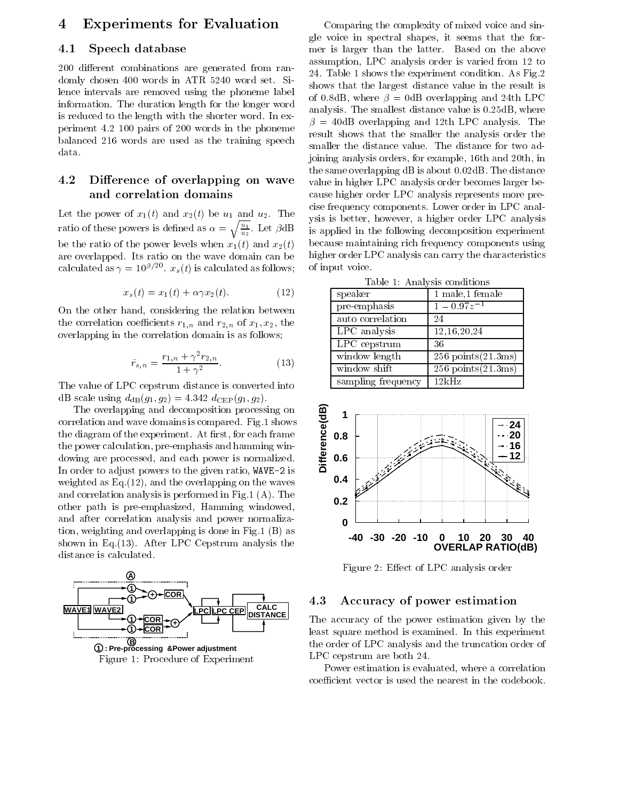# 4 Experiments for Evaluation

## 4.1 Speech database

200 different combinations are generated from randomly chosen 400 words in ATR 5240 word set. Silence intervals are removed using the phoneme label information. The duration length for the longer word is reduced to the length with the shorter word. In experiment 4.2 100 pairs of 200 words in the phoneme balanced 216 words are used as the training speech data.

## 4.2 Difference of overlapping on wave and correlation domains

Let the power of  $x_1(t)$  and  $x_2(t)$  be  $u_1$  and  $u_2$ . The ratio of these powers is defined as  $\alpha = \sqrt{\frac{u_1}{u_2}}$ . Let  $\beta$ dB is applied be the ratio of the power levels when  $x_1(t)$  and  $x_2(t)$ are overlapped. Its ratio on the wave domain can be calculated as  $\gamma = 10^{p/20}$ .  $x_s(t)$  is calculated as follows; of

$$
x_s(t) = x_1(t) + \alpha \gamma x_2(t). \tag{12}
$$

On the other hand, considering the relation between the correlation coefficients  $r_{1,n}$  and  $r_{2,n}$  of  $x_1, x_2$ , the overlapping in the correlation domain is as follows;

$$
\tilde{r}_{s,n} = \frac{r_{1,n} + \gamma^2 r_{2,n}}{1 + \gamma^2}.
$$
\n(13)

The value of LPC cepstrum distance is converted into dB scale using  $d_{dB}(g_1, g_2) = 4.342 \ d_{CEP}(g_1, g_2)$ .

The overlapping and decomposition processing on<br>
relation and wave domains is compared. Fig.1 shows<br>
diagram of the experiment. At first, for each frame<br>
power calculation, pre-emphasis and hamming win-<br>
ving are processe correlation and wave domains is compared. Fig.1 shows the diagram of the experiment. At first, for each frame the power calculation, pre-emphasis and hamming windowing are processed, and each power is normalized. In order to adjust powers to the given ratio,  $WAVE-2$  is weighted as Eq.(12), and the overlapping on the waves and correlation analysis is performed in Fig.1 (A). The other path is pre-emphasized, Hamming windowed, and after correlation analysis and power normalization, weighting and overlapping is done in Fig.1 (B) as shown in Eq.(13). After LPC Cepstrum analysis the distance is calculated.



Comparing the complexity of mixed voice and single voice in spectral shapes, it seems that the former is larger than the latter. Based on the above assumption, LPC analysis order is varied from 12 to 24. Table 1 shows the experiment condition. As Fig.2 shows that the largest distance value in the result is of 0.8dB, where  $\beta = 0$ dB overlapping and 24th LPC analysis. The smallest distance value is 0.25dB, where  $\beta = 40$ dB overlapping and 12th LPC analysis. The result shows that the smaller the analysis order the smaller the distance value. The distance for two adjoining analysis orders, for example, 16th and 20th, in the same overlapping dB is about 0.02dB. The distance value in higher LPC analysis order becomes larger because higher order LPC analysis represents more precise frequency components. Lower order in LPC analysis is better, however, a higher order LPC analysis is applied in the following decomposition experiment because maintaining rich frequency components using higher order LPC analysis can carry the characteristics of input voice.

Table 1: Analysis conditions

| rapic r. Individuo condiciono     |                          |
|-----------------------------------|--------------------------|
| speaker                           | 1 male,1 female          |
| $\overline{\text{pre-em}}$ phasis | $1 - 0.97z^{-1}$         |
| auto correlation                  | 24                       |
| LPC analysis                      | 12,16,20,24              |
| LPC cepstrum                      | 36                       |
| window length                     | $256$ points $(21.3$ ms) |
| window shift                      | $256$ points $(21.3$ ms) |
| sampling frequency                | 12kHz                    |



Figure 2: Effect of LPC analysis order

### 4.3 Accuracy of power estimation

The accuracy of the power estimation given by the least square method is examined. In this experiment the order of LPC analysis and the truncation order of LPC cepstrum are both 24.

Power estimation is evaluated, where a correlation coefficient vector is used the nearest in the codebook.